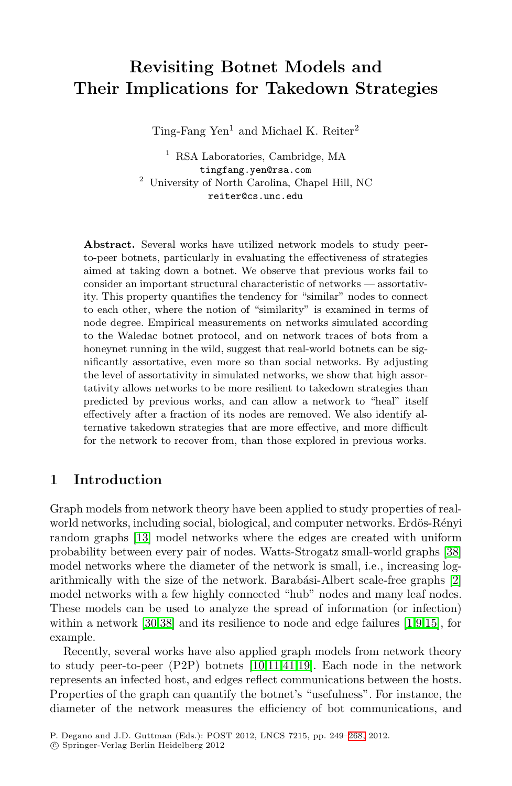# **Revisiting Botnet Models and Their Implications for Takedown Strategies**

Ting-Fang Yen<sup>1</sup> and Michael K. Reiter<sup>2</sup>

<sup>1</sup> RSA Laboratories, Cambridge, MA tingfang.yen@rsa.com <sup>2</sup> University of North Carolina, Chapel Hill, NC reiter@cs.unc.edu

**Abstract.** Several works have utilized network models to study peerto-peer botnets, particularly in evaluating the effectiveness of strategies aimed at taking down a botnet. We observe that previous works fail to consider an important structural characteristic of networks — assortativity. This property quantifies the tendency for "similar" nodes to connect to each other, where the notion of "similarity" is examined in terms of node degree. Empirical measurements on networks simulated according to the Waledac botnet protocol, and on network traces of bots from a honeynet running in the wild, suggest that real-world botnets can be significantly assortative, even more so than social networks. By adjusting the level of assortativity in simulated networks, we show that high assortativity allows networks to be more resilient to takedown strategies than predicted by previous works, and can allow a network to "heal" itself effectively after a fraction of its nodes are removed. We also identify alternative takedown strategies that are more effective, and more difficult for the network to recover from, than those explored in previous works.

# **1 Introduction**

Graph models from network theory have been applied to study properties of realworld networks, including social, biological, and computer networks. Erdös-Rényi random graphs [\[13\]](#page-18-0) model networks where the edges are created with uniform probability between every pair of nodes. Watts-Strogatz small-world graphs [\[38\]](#page-19-0) model networks where the diameter of the network is small, i.e., increasing logarithmically with the size of the network. Barabási-Albert scale-free graphs  $[2]$ model networks with a few highly connected "hub" nodes and many leaf nodes. These models can be used to analyze the spread of information (or infection) within a network [\[30,](#page-19-1)[38\]](#page-19-0) and its resilience to node and edge failures [\[1](#page-18-2)[,9](#page-18-3)[,15\]](#page-18-4), for example.

Recently, several works have also applied graph models from network theory to study peer-to-peer (P2P) botnets [\[10,](#page-18-5)[11](#page-18-6)[,41](#page-19-2)[,19\]](#page-19-3). Each node in the network represents an infected host, and edges reflect communications between the hosts. Properties of the graph can quantify the botnet's "usefulness". For instance, the diameter of the network measures the efficiency of bot communications, and

P. Degano and J.D. Guttman (Eds.): POST 2012, LNCS 7215, pp. 249[–268,](#page-19-4) 2012.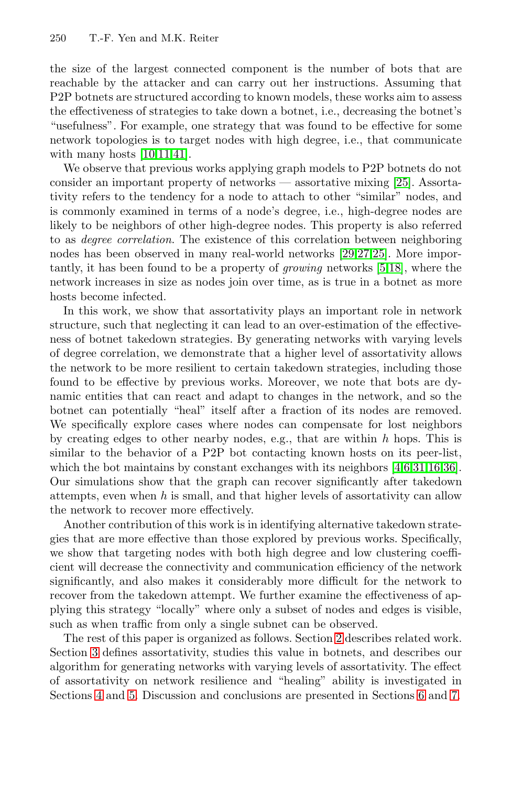the size of the largest connected component is the number of bots that are reachable by the attacker and can carry out her instructions. Assuming that P2P botnets are structured according to known models, these works aim to assess the effectiveness of strategies to take down a botnet, i.e., decreasing the botnet's "usefulness". For example, one strategy that was found to be effective for some network topologies is to target nodes with high degree, i.e., that communicate with many hosts  $[10,11,41]$  $[10,11,41]$  $[10,11,41]$ .

We observe that previous works applying graph models to P2P botnets do not consider an important property of networks — assortative mixing [\[25\]](#page-19-5). Assortativity refers to the tendency for a node to attach to other "similar" nodes, and is commonly examined in terms of a node's degree, i.e., high-degree nodes are likely to be neighbors of other high-degree nodes. This property is also referred to as *degree correlation*. The existence of this correlation between neighboring nodes has been observed in many real-world networks [\[29](#page-19-6)[,27,](#page-19-7)[25\]](#page-19-5). More importantly, it has been found to be a property of *growing* networks [\[5](#page-18-7)[,18\]](#page-19-8), where the network increases in size as nodes join over time, as is true in a botnet as more hosts become infected.

In this work, we show that assortativity plays an important role in network structure, such that neglecting it can lead to an over-estimation of the effectiveness of botnet takedown strategies. By generating networks with varying levels of degree correlation, we demonstrate that a higher level of assortativity allows the network to be more resilient to certain takedown strategies, including those found to be effective by previous works. Moreover, we note that bots are dynamic entities that can react and adapt to changes in the network, and so the botnet can potentially "heal" itself after a fraction of its nodes are removed. We specifically explore cases where nodes can compensate for lost neighbors by creating edges to other nearby nodes, e.g., that are within  $h$  hops. This is similar to the behavior of a P2P bot contacting known hosts on its peer-list, which the bot maintains by constant exchanges with its neighbors  $[4,6,31,16,36]$  $[4,6,31,16,36]$  $[4,6,31,16,36]$  $[4,6,31,16,36]$  $[4,6,31,16,36]$ . Our simulations show that the graph can recover significantly after takedown attempts, even when  $h$  is small, and that higher levels of assortativity can allow the network to recover more effectively.

Another contribution of this work is in identifying alternative takedown strategies that are more effective than those explored by previous works. Specifically, we show that targeting nodes with both high degree and low clustering coefficient will decrease the connectivity and communication efficiency of the network significantly, and also makes it considerably more difficult for the network to recover from the takedown attempt. We further examine the effectiveness of applying this strategy "locally" where only a subset of nodes and edges is visible, such as when traffic from only a single subnet can be observed.

The rest of this paper is organized as follows. Section [2](#page-2-0) describes related work. Section [3](#page-3-0) defines assortativity, studies this value in botnets, and describes our algorithm for generating networks with varying levels of assortativity. The effect of assortativity on network resilience and "healing" ability is investigated in Sections [4](#page-7-0) and [5.](#page-12-0) Discussion and conclusions are presented in Sections [6](#page-15-0) and [7.](#page-17-0)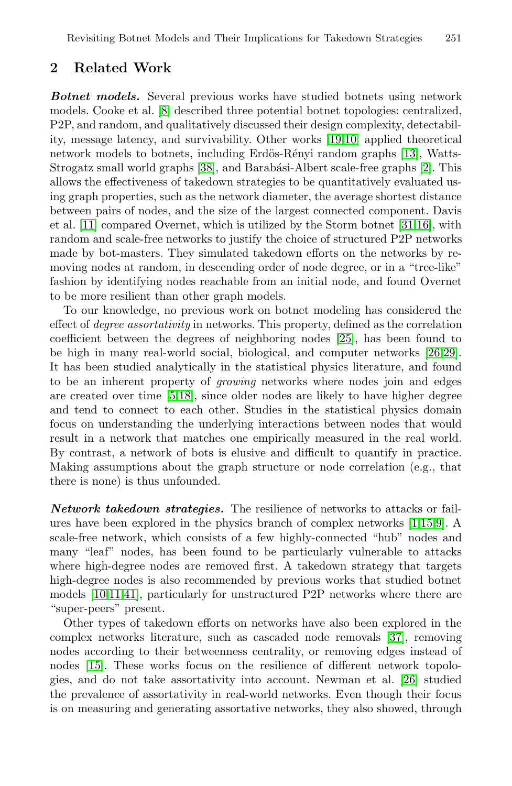# <span id="page-2-0"></span>**2 Related Work**

*Botnet models.* Several previous works have studied botnets using network models. Cooke et al. [\[8\]](#page-18-11) described three potential botnet topologies: centralized, P2P, and random, and qualitatively discussed their design complexity, detectability, message latency, and survivability. Other works [\[19,](#page-19-3)[10\]](#page-18-5) applied theoretical network models to botnets, including Erdös-Rényi random graphs [\[13\]](#page-18-0), Watts-Strogatz small world graphs [\[38\]](#page-19-0), and Barabási-Albert scale-free graphs [\[2\]](#page-18-1). This allows the effectiveness of takedown strategies to be quantitatively evaluated using graph properties, such as the network diameter, the average shortest distance between pairs of nodes, and the size of the largest connected component. Davis et al. [\[11\]](#page-18-6) compared Overnet, which is utilized by the Storm botnet [\[31](#page-19-9)[,16\]](#page-18-10), with random and scale-free networks to justify the choice of structured P2P networks made by bot-masters. They simulated takedown efforts on the networks by removing nodes at random, in descending order of node degree, or in a "tree-like" fashion by identifying nodes reachable from an initial node, and found Overnet to be more resilient than other graph models.

To our knowledge, no previous work on botnet modeling has considered the effect of *degree assortativity* in networks. This property, defined as the correlation coefficient between the degrees of neighboring nodes [\[25\]](#page-19-5), has been found to be high in many real-world social, biological, and computer networks [\[26](#page-19-11)[,29\]](#page-19-6). It has been studied analytically in the statistical physics literature, and found to be an inherent property of *growing* networks where nodes join and edges are created over time [\[5](#page-18-7)[,18\]](#page-19-8), since older nodes are likely to have higher degree and tend to connect to each other. Studies in the statistical physics domain focus on understanding the underlying interactions between nodes that would result in a network that matches one empirically measured in the real world. By contrast, a network of bots is elusive and difficult to quantify in practice. Making assumptions about the graph structure or node correlation (e.g., that there is none) is thus unfounded.

*Network takedown strategies.* The resilience of networks to attacks or failures have been explored in the physics branch of complex networks [\[1](#page-18-2)[,15](#page-18-4)[,9\]](#page-18-3). A scale-free network, which consists of a few highly-connected "hub" nodes and many "leaf" nodes, has been found to be particularly vulnerable to attacks where high-degree nodes are removed first. A takedown strategy that targets high-degree nodes is also recommended by previous works that studied botnet models [\[10](#page-18-5)[,11](#page-18-6)[,41\]](#page-19-2), particularly for unstructured P2P networks where there are "super-peers" present.

Other types of takedown efforts on networks have also been explored in the complex networks literature, such as cascaded node removals [\[37\]](#page-19-12), removing nodes according to their betweenness centrality, or removing edges instead of nodes [\[15\]](#page-18-4). These works focus on the resilience of different network topologies, and do not take assortativity into account. Newman et al. [\[26\]](#page-19-11) studied the prevalence of assortativity in real-world networks. Even though their focus is on measuring and generating assortative networks, they also showed, through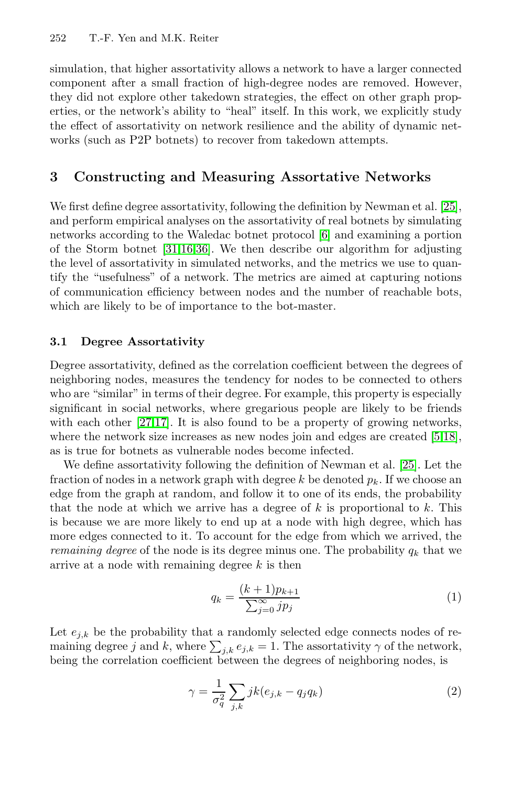simulation, that higher assortativity allows a network to have a larger connected component after a small fraction of high-degree nodes are removed. However, they did not explore other takedown strategies, the effect on other graph properties, or the network's ability to "heal" itself. In this work, we explicitly study the effect of assortativity on network resilience and the ability of dynamic networks (such as P2P botnets) to recover from takedown attempts.

# <span id="page-3-0"></span>**3 Constructing and Measuring Assortative Networks**

We first define degree assortativity, following the definition by Newman et al. [\[25\]](#page-19-5), and perform empirical analyses on the assortativity of real botnets by simulating networks according to the Waledac botnet protocol [\[6\]](#page-18-9) and examining a portion of the Storm botnet [\[31,](#page-19-9)[16](#page-18-10)[,36\]](#page-19-10). We then describe our algorithm for adjusting the level of assortativity in simulated networks, and the metrics we use to quantify the "usefulness" of a network. The metrics are aimed at capturing notions of communication efficiency between nodes and the number of reachable bots, which are likely to be of importance to the bot-master.

## **3.1 Degree Assortativity**

Degree assortativity, defined as the correlation coefficient between the degrees of neighboring nodes, measures the tendency for nodes to be connected to others who are "similar" in terms of their degree. For example, this property is especially significant in social networks, where gregarious people are likely to be friends with each other [\[27](#page-19-7)[,17\]](#page-19-13). It is also found to be a property of growing networks, where the network size increases as new nodes join and edges are created [\[5](#page-18-7)[,18\]](#page-19-8), as is true for botnets as vulnerable nodes become infected.

We define assortativity following the definition of Newman et al. [\[25\]](#page-19-5). Let the fraction of nodes in a network graph with degree k be denoted  $p_k$ . If we choose an edge from the graph at random, and follow it to one of its ends, the probability that the node at which we arrive has a degree of  $k$  is proportional to  $k$ . This is because we are more likely to end up at a node with high degree, which has more edges connected to it. To account for the edge from which we arrived, the *remaining degree* of the node is its degree minus one. The probability  $q_k$  that we arrive at a node with remaining degree  $k$  is then

$$
q_k = \frac{(k+1)p_{k+1}}{\sum_{j=0}^{\infty} j p_j} \tag{1}
$$

Let  $e_{j,k}$  be the probability that a randomly selected edge connects nodes of remaining degree j and k, where  $\sum_{j,k} e_{j,k} = 1$ . The assortativity  $\gamma$  of the network, being the correlation coefficient between the degrees of neighboring nodes, is

$$
\gamma = \frac{1}{\sigma_q^2} \sum_{j,k} jk(e_{j,k} - q_j q_k)
$$
\n(2)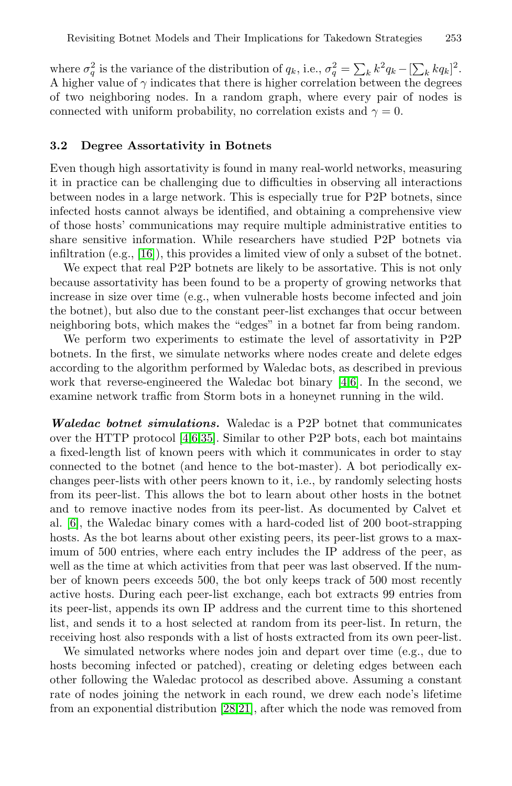where  $\sigma_q^2$  is the variance of the distribution of  $q_k$ , i.e.,  $\sigma_q^2 = \sum_k k^2 q_k - [\sum_k k q_k]^2$ . A higher value of  $\gamma$  indicates that there is higher correlation between the degrees of two neighboring nodes. In a random graph, where every pair of nodes is connected with uniform probability, no correlation exists and  $\gamma = 0$ .

### **3.2 Degree Assortativity in Botnets**

Even though high assortativity is found in many real-world networks, measuring it in practice can be challenging due to difficulties in observing all interactions between nodes in a large network. This is especially true for P2P botnets, since infected hosts cannot always be identified, and obtaining a comprehensive view of those hosts' communications may require multiple administrative entities to share sensitive information. While researchers have studied P2P botnets via infiltration (e.g., [\[16\]](#page-18-10)), this provides a limited view of only a subset of the botnet.

We expect that real P2P botnets are likely to be assortative. This is not only because assortativity has been found to be a property of growing networks that increase in size over time (e.g., when vulnerable hosts become infected and join the botnet), but also due to the constant peer-list exchanges that occur between neighboring bots, which makes the "edges" in a botnet far from being random.

We perform two experiments to estimate the level of assortativity in P2P botnets. In the first, we simulate networks where nodes create and delete edges according to the algorithm performed by Waledac bots, as described in previous work that reverse-engineered the Waledac bot binary  $[4,6]$  $[4,6]$ . In the second, we examine network traffic from Storm bots in a honeynet running in the wild.

*Waledac botnet simulations.* Waledac is a P2P botnet that communicates over the HTTP protocol [\[4](#page-18-8)[,6,](#page-18-9)[35\]](#page-19-14). Similar to other P2P bots, each bot maintains a fixed-length list of known peers with which it communicates in order to stay connected to the botnet (and hence to the bot-master). A bot periodically exchanges peer-lists with other peers known to it, i.e., by randomly selecting hosts from its peer-list. This allows the bot to learn about other hosts in the botnet and to remove inactive nodes from its peer-list. As documented by Calvet et al. [\[6\]](#page-18-9), the Waledac binary comes with a hard-coded list of 200 boot-strapping hosts. As the bot learns about other existing peers, its peer-list grows to a maximum of 500 entries, where each entry includes the IP address of the peer, as well as the time at which activities from that peer was last observed. If the number of known peers exceeds 500, the bot only keeps track of 500 most recently active hosts. During each peer-list exchange, each bot extracts 99 entries from its peer-list, appends its own IP address and the current time to this shortened list, and sends it to a host selected at random from its peer-list. In return, the receiving host also responds with a list of hosts extracted from its own peer-list.

We simulated networks where nodes join and depart over time (e.g., due to hosts becoming infected or patched), creating or deleting edges between each other following the Waledac protocol as described above. Assuming a constant rate of nodes joining the network in each round, we drew each node's lifetime from an exponential distribution [\[28](#page-19-15)[,21\]](#page-19-16), after which the node was removed from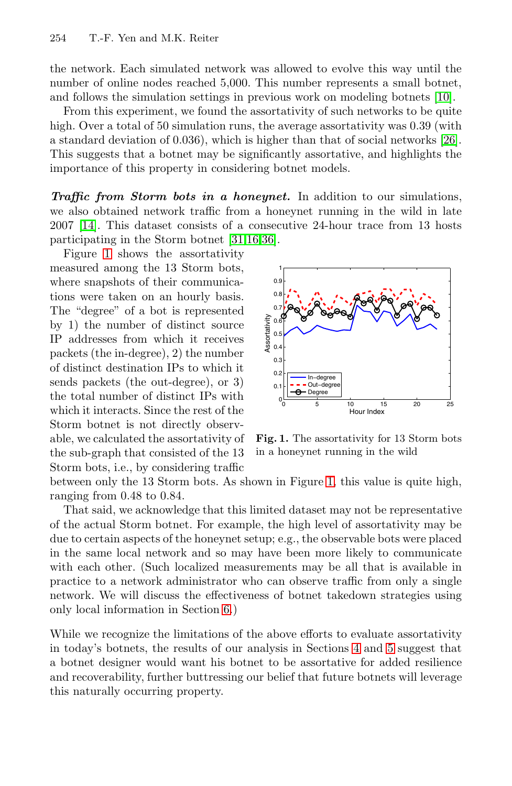the network. Each simulated network was allowed to evolve this way until the number of online nodes reached 5,000. This number represents a small botnet, and follows the simulation settings in previous work on modeling botnets [\[10\]](#page-18-5).

From this experiment, we found the assortativity of such networks to be quite high. Over a total of 50 simulation runs, the average assortativity was  $0.39$  (with a standard deviation of 0.036), which is higher than that of social networks [\[26\]](#page-19-11). This suggests that a botnet may be significantly assortative, and highlights the importance of this property in considering botnet models.

*Traffic from Storm bots in a honeynet.* In addition to our simulations, we also obtained network traffic from a honeynet running in the wild in late 2007 [\[14\]](#page-18-12). This dataset consists of a consecutive 24-hour trace from 13 hosts participating in the Storm botnet [\[31](#page-19-9)[,16,](#page-18-10)[36\]](#page-19-10).

Figure [1](#page-5-0) shows the assortativity measured among the 13 Storm bots, where snapshots of their communications were taken on an hourly basis. The "degree" of a bot is represented by 1) the number of distinct source IP addresses from which it receives packets (the in-degree), 2) the number of distinct destination IPs to which it sends packets (the out-degree), or 3) the total number of distinct IPs with which it interacts. Since the rest of the Storm botnet is not directly observable, we calculated the assortativity of the sub-graph that consisted of the 13 Storm bots, i.e., by considering traffic



<span id="page-5-0"></span>**Fig. 1.** The assortativity for 13 Storm bots in a honeynet running in the wild

between only the 13 Storm bots. As shown in Figure [1,](#page-5-0) this value is quite high, ranging from 0.48 to 0.84.

That said, we acknowledge that this limited dataset may not be representative of the actual Storm botnet. For example, the high level of assortativity may be due to certain aspects of the honeynet setup; e.g., the observable bots were placed in the same local network and so may have been more likely to communicate with each other. (Such localized measurements may be all that is available in practice to a network administrator who can observe traffic from only a single network. We will discuss the effectiveness of botnet takedown strategies using only local information in Section [6.](#page-15-0))

While we recognize the limitations of the above efforts to evaluate assortativity in today's botnets, the results of our analysis in Sections [4](#page-7-0) and [5](#page-12-0) suggest that a botnet designer would want his botnet to be assortative for added resilience and recoverability, further buttressing our belief that future botnets will leverage this naturally occurring property.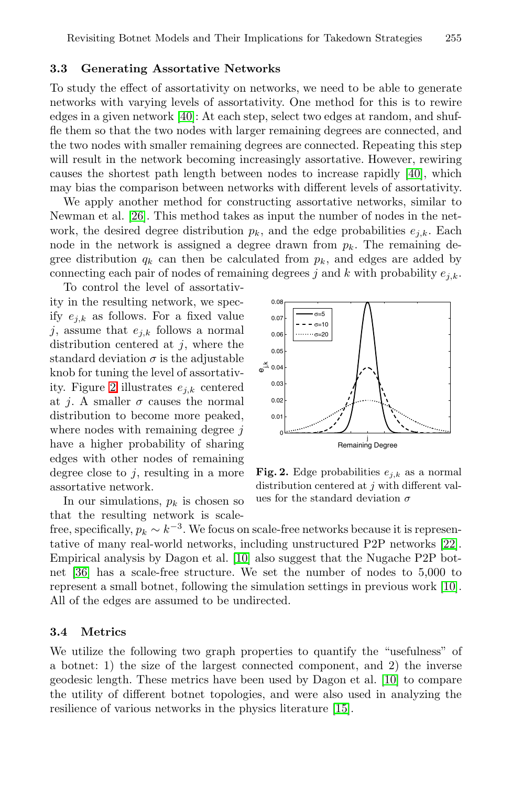#### <span id="page-6-2"></span>**3.3 Generating Assortative Networks**

To study the effect of assortativity on networks, we need to be able to generate networks with varying levels of assortativity. One method for this is to rewire edges in a given network [\[40\]](#page-19-17): At each step, select two edges at random, and shuffle them so that the two nodes with larger remaining degrees are connected, and the two nodes with smaller remaining degrees are connected. Repeating this step will result in the network becoming increasingly assortative. However, rewiring causes the shortest path length between nodes to increase rapidly [\[40\]](#page-19-17), which may bias the comparison between networks with different levels of assortativity.

We apply another method for constructing assortative networks, similar to Newman et al. [\[26\]](#page-19-11). This method takes as input the number of nodes in the network, the desired degree distribution  $p_k$ , and the edge probabilities  $e_{i,k}$ . Each node in the network is assigned a degree drawn from  $p_k$ . The remaining degree distribution  $q_k$  can then be calculated from  $p_k$ , and edges are added by connecting each pair of nodes of remaining degrees j and k with probability  $e_{i,k}$ .

To control the level of assortativity in the resulting network, we specify  $e_{j,k}$  as follows. For a fixed value j, assume that  $e_{i,k}$  follows a normal distribution centered at  $j$ , where the standard deviation  $\sigma$  is the adjustable knob for tuning the level of assortativity. Figure [2](#page-6-0) illustrates e*j,k* centered at j. A smaller  $\sigma$  causes the normal distribution to become more peaked, where nodes with remaining degree  $j$ have a higher probability of sharing edges with other nodes of remaining degree close to  $i$ , resulting in a more assortative network.

In our simulations,  $p_k$  is chosen so that the resulting network is scale-



<span id="page-6-0"></span>**Fig. 2.** Edge probabilities  $e_{j,k}$  as a normal distribution centered at j with different values for the standard deviation  $\sigma$ 

free, specifically,  $p_k \sim k^{-3}$ . We focus on scale-free networks because it is representative of many real-world networks, including unstructured P2P networks [\[22\]](#page-19-18). Empirical analysis by Dagon et al. [\[10\]](#page-18-5) also suggest that the Nugache P2P botnet [\[36\]](#page-19-10) has a scale-free structure. We set the number of nodes to 5,000 to represent a small botnet, following the simulation settings in previous work [\[10\]](#page-18-5). All of the edges are assumed to be undirected.

#### <span id="page-6-1"></span>**3.4 Metrics**

We utilize the following two graph properties to quantify the "usefulness" of a botnet: 1) the size of the largest connected component, and 2) the inverse geodesic length. These metrics have been used by Dagon et al. [\[10\]](#page-18-5) to compare the utility of different botnet topologies, and were also used in analyzing the resilience of various networks in the physics literature [\[15\]](#page-18-4).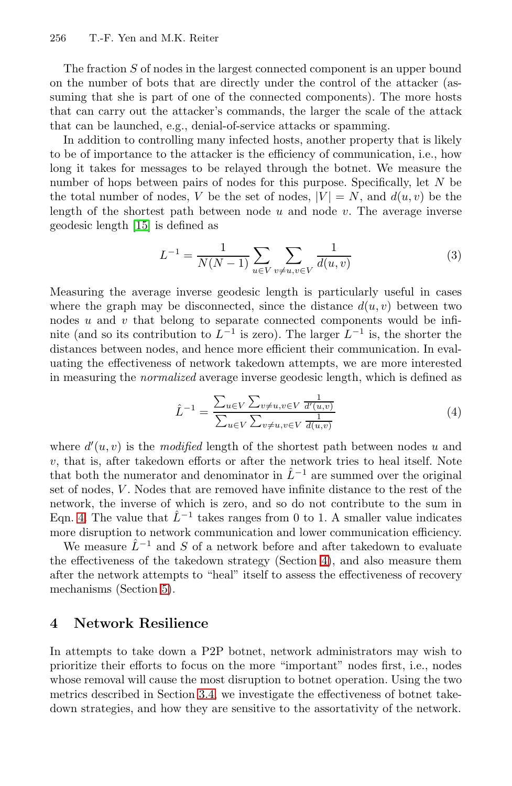The fraction S of nodes in the largest connected component is an upper bound on the number of bots that are directly under the control of the attacker (assuming that she is part of one of the connected components). The more hosts that can carry out the attacker's commands, the larger the scale of the attack that can be launched, e.g., denial-of-service attacks or spamming.

In addition to controlling many infected hosts, another property that is likely to be of importance to the attacker is the efficiency of communication, i.e., how long it takes for messages to be relayed through the botnet. We measure the number of hops between pairs of nodes for this purpose. Specifically, let N be the total number of nodes, V be the set of nodes,  $|V| = N$ , and  $d(u, v)$  be the length of the shortest path between node  $u$  and node  $v$ . The average inverse geodesic length [\[15\]](#page-18-4) is defined as

$$
L^{-1} = \frac{1}{N(N-1)} \sum_{u \in V} \sum_{v \neq u, v \in V} \frac{1}{d(u, v)}
$$
(3)

Measuring the average inverse geodesic length is particularly useful in cases where the graph may be disconnected, since the distance  $d(u, v)$  between two nodes  $u$  and  $v$  that belong to separate connected components would be infinite (and so its contribution to  $L^{-1}$  is zero). The larger  $L^{-1}$  is, the shorter the distances between nodes, and hence more efficient their communication. In evaluating the effectiveness of network takedown attempts, we are more interested in measuring the *normalized* average inverse geodesic length, which is defined as

<span id="page-7-1"></span>
$$
\hat{L}^{-1} = \frac{\sum_{u \in V} \sum_{v \neq u, v \in V} \frac{1}{d'(u, v)}}{\sum_{u \in V} \sum_{v \neq u, v \in V} \frac{1}{d(u, v)}}
$$
(4)

where  $d'(u, v)$  is the *modified* length of the shortest path between nodes u and  $v$ , that is, after takedown efforts or after the network tries to heal itself. Note that both the numerator and denominator in  $\hat{L}^{-1}$  are summed over the original set of nodes, V. Nodes that are removed have infinite distance to the rest of the network, the inverse of which is zero, and so do not contribute to the sum in Eqn. [4.](#page-7-1) The value that  $\hat{L}^{-1}$  takes ranges from 0 to 1. A smaller value indicates more disruption to network communication and lower communication efficiency.

We measure  $\hat{L}^{-1}$  and S of a network before and after takedown to evaluate the effectiveness of the takedown strategy (Section [4\)](#page-7-0), and also measure them after the network attempts to "heal" itself to assess the effectiveness of recovery mechanisms (Section [5\)](#page-12-0).

# <span id="page-7-0"></span>**4 Network Resilience**

In attempts to take down a P2P botnet, network administrators may wish to prioritize their efforts to focus on the more "important" nodes first, i.e., nodes whose removal will cause the most disruption to botnet operation. Using the two metrics described in Section [3.4,](#page-6-1) we investigate the effectiveness of botnet takedown strategies, and how they are sensitive to the assortativity of the network.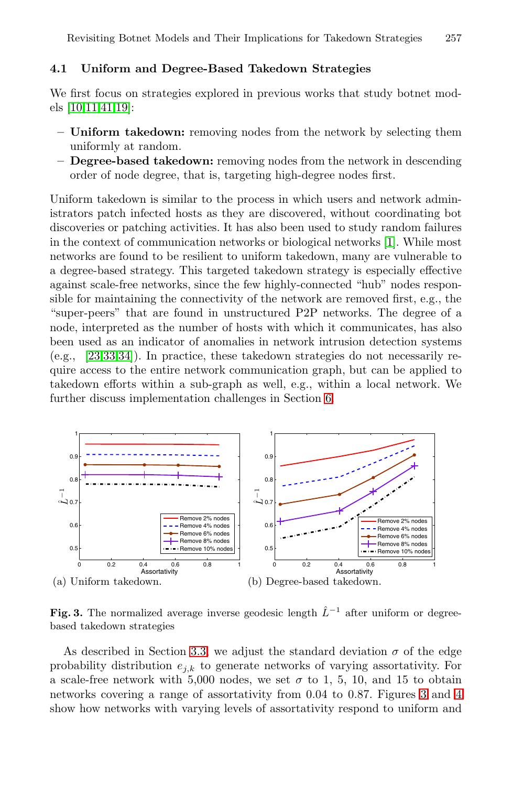## <span id="page-8-2"></span>**4.1 Uniform and Degree-Based Takedown Strategies**

We first focus on strategies explored in previous works that study botnet models [\[10,](#page-18-5)[11](#page-18-6)[,41](#page-19-2)[,19\]](#page-19-3):

- **Uniform takedown:** removing nodes from the network by selecting them uniformly at random.
- **Degree-based takedown:** removing nodes from the network in descending order of node degree, that is, targeting high-degree nodes first.

Uniform takedown is similar to the process in which users and network administrators patch infected hosts as they are discovered, without coordinating bot discoveries or patching activities. It has also been used to study random failures in the context of communication networks or biological networks [\[1\]](#page-18-2). While most networks are found to be resilient to uniform takedown, many are vulnerable to a degree-based strategy. This targeted takedown strategy is especially effective against scale-free networks, since the few highly-connected "hub" nodes responsible for maintaining the connectivity of the network are removed first, e.g., the "super-peers" that are found in unstructured P2P networks. The degree of a node, interpreted as the number of hosts with which it communicates, has also been used as an indicator of anomalies in network intrusion detection systems (e.g., [\[23,](#page-19-19)[33](#page-19-20)[,34\]](#page-19-21)). In practice, these takedown strategies do not necessarily require access to the entire network communication graph, but can be applied to takedown efforts within a sub-graph as well, e.g., within a local network. We further discuss implementation challenges in Section [6.](#page-15-0)



<span id="page-8-1"></span><span id="page-8-0"></span>**Fig. 3.** The normalized average inverse geodesic length  $\hat{L}^{-1}$  after uniform or degreebased takedown strategies

As described in Section [3.3,](#page-6-2) we adjust the standard deviation  $\sigma$  of the edge probability distribution e*j,k* to generate networks of varying assortativity. For a scale-free network with 5,000 nodes, we set  $\sigma$  to 1, 5, 10, and 15 to obtain networks covering a range of assortativity from 0.04 to 0.87. Figures [3](#page-8-0) and [4](#page-9-0) show how networks with varying levels of assortativity respond to uniform and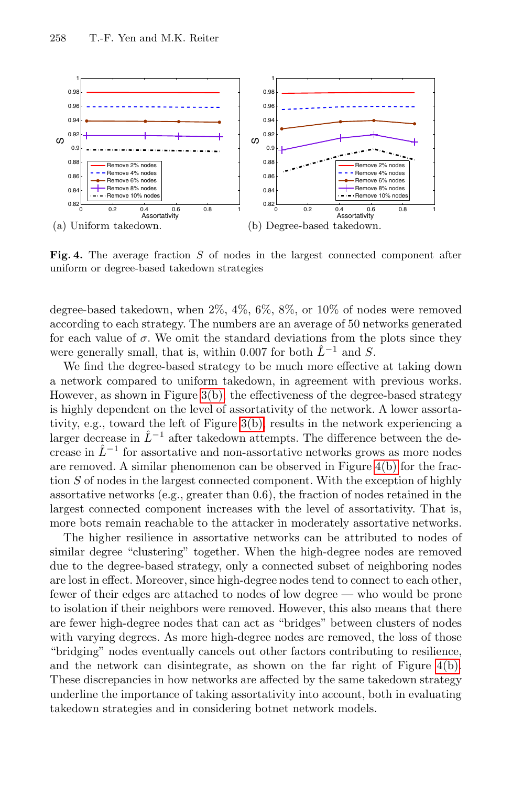

<span id="page-9-1"></span><span id="page-9-0"></span>**Fig. 4.** The average fraction <sup>S</sup> of nodes in the largest connected component after uniform or degree-based takedown strategies

degree-based takedown, when 2%, 4%, 6%, 8%, or 10% of nodes were removed according to each strategy. The numbers are an average of 50 networks generated for each value of  $\sigma$ . We omit the standard deviations from the plots since they were generally small, that is, within 0.007 for both  $\hat{L}^{-1}$  and S.

We find the degree-based strategy to be much more effective at taking down a network compared to uniform takedown, in agreement with previous works. However, as shown in Figure [3\(b\),](#page-8-1) the effectiveness of the degree-based strategy is highly dependent on the level of assortativity of the network. A lower assortativity, e.g., toward the left of Figure [3\(b\),](#page-8-1) results in the network experiencing a larger decrease in  $\hat{L}^{-1}$  after takedown attempts. The difference between the decrease in  $\hat{L}^{-1}$  for assortative and non-assortative networks grows as more nodes are removed. A similar phenomenon can be observed in Figure [4\(b\)](#page-9-1) for the fraction S of nodes in the largest connected component. With the exception of highly assortative networks (e.g., greater than 0.6), the fraction of nodes retained in the largest connected component increases with the level of assortativity. That is, more bots remain reachable to the attacker in moderately assortative networks.

The higher resilience in assortative networks can be attributed to nodes of similar degree "clustering" together. When the high-degree nodes are removed due to the degree-based strategy, only a connected subset of neighboring nodes are lost in effect. Moreover, since high-degree nodes tend to connect to each other, fewer of their edges are attached to nodes of low degree — who would be prone to isolation if their neighbors were removed. However, this also means that there are fewer high-degree nodes that can act as "bridges" between clusters of nodes with varying degrees. As more high-degree nodes are removed, the loss of those "bridging" nodes eventually cancels out other factors contributing to resilience, and the network can disintegrate, as shown on the far right of Figure  $4(b)$ . These discrepancies in how networks are affected by the same takedown strategy underline the importance of taking assortativity into account, both in evaluating takedown strategies and in considering botnet network models.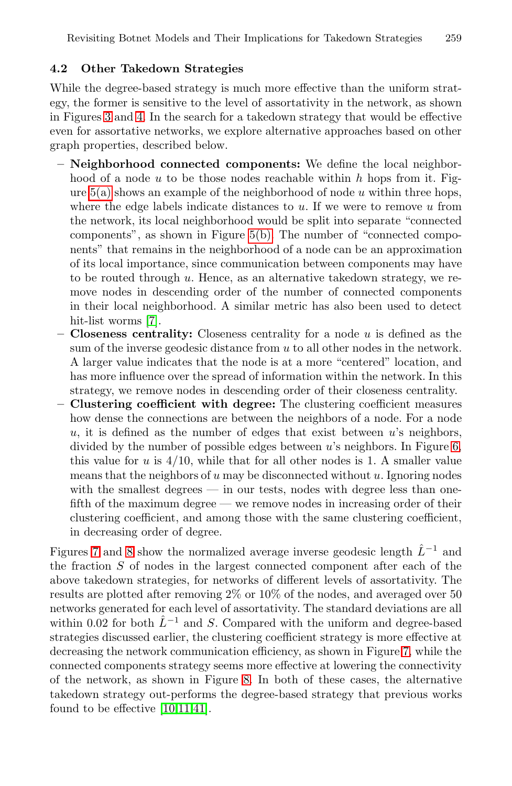# <span id="page-10-0"></span>**4.2 Other Takedown Strategies**

While the degree-based strategy is much more effective than the uniform strategy, the former is sensitive to the level of assortativity in the network, as shown in Figures [3](#page-8-0) and [4.](#page-9-0) In the search for a takedown strategy that would be effective even for assortative networks, we explore alternative approaches based on other graph properties, described below.

- **Neighborhood connected components:** We define the local neighborhood of a node u to be those nodes reachable within h hops from it. Figure  $5(a)$  shows an example of the neighborhood of node u within three hops, where the edge labels indicate distances to  $u$ . If we were to remove  $u$  from the network, its local neighborhood would be split into separate "connected components", as shown in Figure [5\(b\).](#page-11-1) The number of "connected components" that remains in the neighborhood of a node can be an approximation of its local importance, since communication between components may have to be routed through  $u$ . Hence, as an alternative takedown strategy, we remove nodes in descending order of the number of connected components in their local neighborhood. A similar metric has also been used to detect hit-list worms [\[7\]](#page-18-13).
- **Closeness centrality:** Closeness centrality for a node u is defined as the sum of the inverse geodesic distance from  $u$  to all other nodes in the network. A larger value indicates that the node is at a more "centered" location, and has more influence over the spread of information within the network. In this strategy, we remove nodes in descending order of their closeness centrality.
- **Clustering coefficient with degree:** The clustering coefficient measures how dense the connections are between the neighbors of a node. For a node  $u$ , it is defined as the number of edges that exist between  $u$ 's neighbors, divided by the number of possible edges between  $u$ 's neighbors. In Figure [6,](#page-11-2) this value for  $u$  is  $4/10$ , while that for all other nodes is 1. A smaller value means that the neighbors of u may be disconnected without  $u$ . Ignoring nodes with the smallest degrees — in our tests, nodes with degree less than onefifth of the maximum degree — we remove nodes in increasing order of their clustering coefficient, and among those with the same clustering coefficient, in decreasing order of degree.

Figures [7](#page-11-3) and [8](#page-12-1) show the normalized average inverse geodesic length  $\tilde{L}^{-1}$  and the fraction S of nodes in the largest connected component after each of the above takedown strategies, for networks of different levels of assortativity. The results are plotted after removing 2% or 10% of the nodes, and averaged over 50 networks generated for each level of assortativity. The standard deviations are all within 0.02 for both  $\hat{L}^{-1}$  and S. Compared with the uniform and degree-based strategies discussed earlier, the clustering coefficient strategy is more effective at decreasing the network communication efficiency, as shown in Figure [7,](#page-11-3) while the connected components strategy seems more effective at lowering the connectivity of the network, as shown in Figure [8.](#page-12-1) In both of these cases, the alternative takedown strategy out-performs the degree-based strategy that previous works found to be effective [\[10](#page-18-5)[,11](#page-18-6)[,41\]](#page-19-2).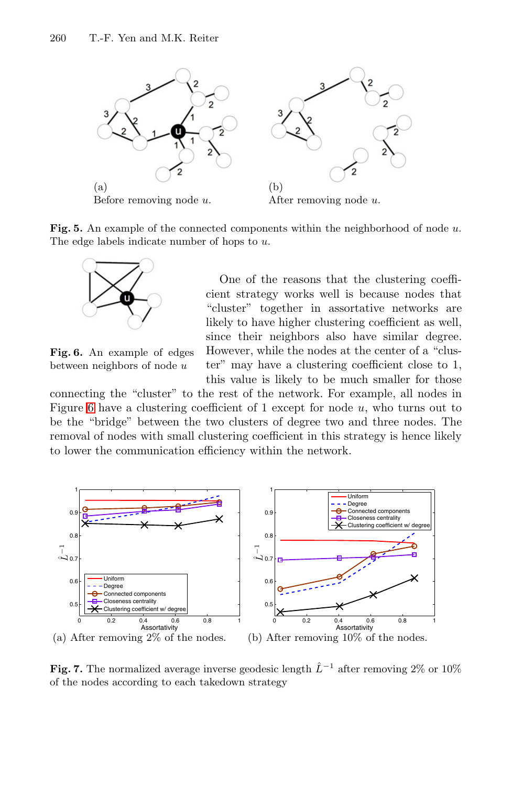

<span id="page-11-0"></span>**Fig. 5.** An example of the connected components within the neighborhood of node <sup>u</sup>. The edge labels indicate number of hops to u.



<span id="page-11-2"></span>**Fig. 6.** An example of edges between neighbors of node  $u$ 

<span id="page-11-1"></span>One of the reasons that the clustering coefficient strategy works well is because nodes that "cluster" together in assortative networks are likely to have higher clustering coefficient as well, since their neighbors also have similar degree. However, while the nodes at the center of a "cluster" may have a clustering coefficient close to 1, this value is likely to be much smaller for those

connecting the "cluster" to the rest of the network. For example, all nodes in Figure [6](#page-11-2) have a clustering coefficient of 1 except for node  $u$ , who turns out to be the "bridge" between the two clusters of degree two and three nodes. The removal of nodes with small clustering coefficient in this strategy is hence likely to lower the communication efficiency within the network.



<span id="page-11-3"></span>**Fig. 7.** The normalized average inverse geodesic length  $\hat{L}^{-1}$  after removing 2% or 10% of the nodes according to each takedown strategy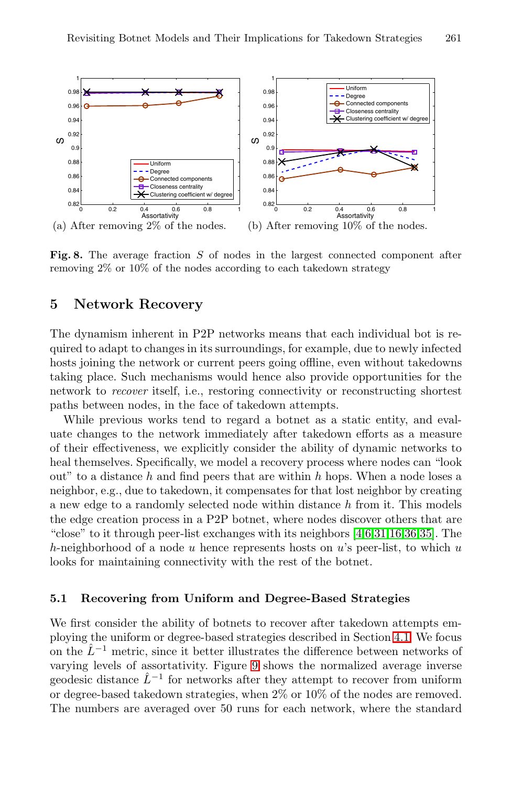

<span id="page-12-1"></span>**Fig. 8.** The average fraction <sup>S</sup> of nodes in the largest connected component after removing 2% or 10% of the nodes according to each takedown strategy

# <span id="page-12-0"></span>**5 Network Recovery**

The dynamism inherent in P2P networks means that each individual bot is required to adapt to changes in its surroundings, for example, due to newly infected hosts joining the network or current peers going offline, even without takedowns taking place. Such mechanisms would hence also provide opportunities for the network to *recover* itself, i.e., restoring connectivity or reconstructing shortest paths between nodes, in the face of takedown attempts.

While previous works tend to regard a botnet as a static entity, and evaluate changes to the network immediately after takedown efforts as a measure of their effectiveness, we explicitly consider the ability of dynamic networks to heal themselves. Specifically, we model a recovery process where nodes can "look out" to a distance h and find peers that are within h hops. When a node loses a neighbor, e.g., due to takedown, it compensates for that lost neighbor by creating a new edge to a randomly selected node within distance h from it. This models the edge creation process in a P2P botnet, where nodes discover others that are "close" to it through peer-list exchanges with its neighbors  $[4,6,31,16,36,35]$  $[4,6,31,16,36,35]$  $[4,6,31,16,36,35]$  $[4,6,31,16,36,35]$  $[4,6,31,16,36,35]$  $[4,6,31,16,36,35]$ . The h-neighborhood of a node u hence represents hosts on  $u$ 's peer-list, to which u looks for maintaining connectivity with the rest of the botnet.

#### **5.1 Recovering from Uniform and Degree-Based Strategies**

We first consider the ability of botnets to recover after takedown attempts employing the uniform or degree-based strategies described in Section [4.1.](#page-8-2) We focus on the  $\hat{L}^{-1}$  metric, since it better illustrates the difference between networks of varying levels of assortativity. Figure [9](#page-13-0) shows the normalized average inverse geodesic distance  $\hat{L}^{-1}$  for networks after they attempt to recover from uniform or degree-based takedown strategies, when 2% or 10% of the nodes are removed. The numbers are averaged over 50 runs for each network, where the standard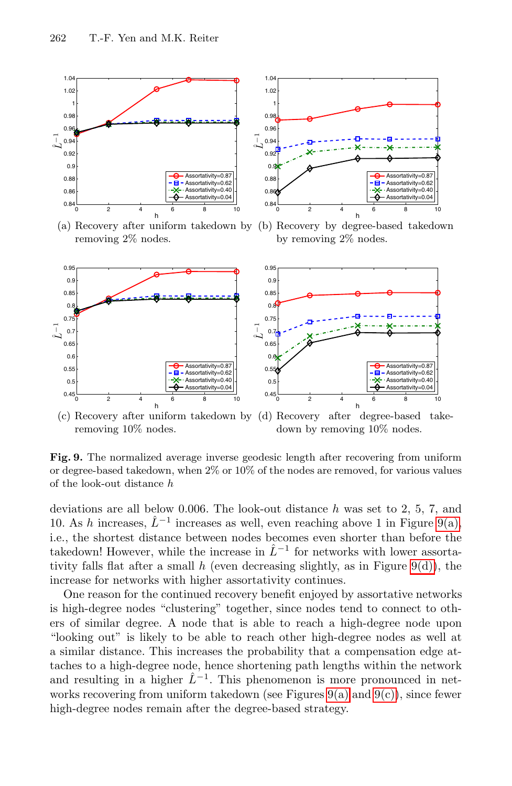

<span id="page-13-1"></span>(a) Recovery after uniform takedown by (b) Recovery by degree-based takedown removing 2% nodes. by removing 2% nodes.



<span id="page-13-3"></span><span id="page-13-2"></span>(c) Recovery after uniform takedown by (d) Recovery after degree-based takeremoving 10% nodes. down by removing 10% nodes.

<span id="page-13-0"></span>**Fig. 9.** The normalized average inverse geodesic length after recovering from uniform or degree-based takedown, when 2% or 10% of the nodes are removed, for various values of the look-out distance h

deviations are all below 0.006. The look-out distance  $h$  was set to 2, 5, 7, and 10. As h increases,  $\hat{L}^{-1}$  increases as well, even reaching above 1 in Figure [9\(a\),](#page-13-1) i.e., the shortest distance between nodes becomes even shorter than before the takedown! However, while the increase in  $\hat{L}^{-1}$  for networks with lower assortativity falls flat after a small h (even decreasing slightly, as in Figure  $9(d)$ ), the increase for networks with higher assortativity continues.

One reason for the continued recovery benefit enjoyed by assortative networks is high-degree nodes "clustering" together, since nodes tend to connect to others of similar degree. A node that is able to reach a high-degree node upon "looking out" is likely to be able to reach other high-degree nodes as well at a similar distance. This increases the probability that a compensation edge attaches to a high-degree node, hence shortening path lengths within the network and resulting in a higher  $\hat{L}^{-1}$ . This phenomenon is more pronounced in networks recovering from uniform takedown (see Figures  $9(a)$  and  $9(c)$ ), since fewer high-degree nodes remain after the degree-based strategy.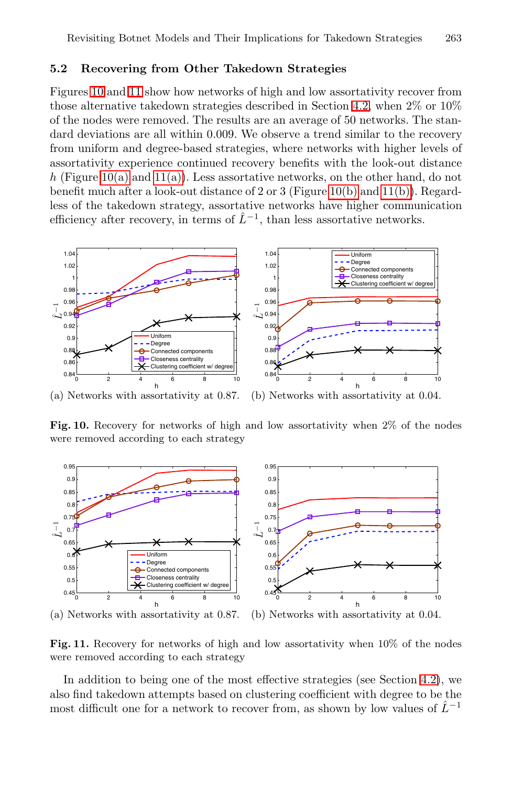## **5.2 Recovering from Other Takedown Strategies**

Figures [10](#page-14-0) and [11](#page-14-1) show how networks of high and low assortativity recover from those alternative takedown strategies described in Section [4.2,](#page-10-0) when 2% or 10% of the nodes were removed. The results are an average of 50 networks. The standard deviations are all within 0.009. We observe a trend similar to the recovery from uniform and degree-based strategies, where networks with higher levels of assortativity experience continued recovery benefits with the look-out distance h (Figure [10\(a\)](#page-14-2) and [11\(a\)\)](#page-14-3). Less assortative networks, on the other hand, do not benefit much after a look-out distance of 2 or 3 (Figure [10\(b\)](#page-14-4) and [11\(b\)\)](#page-14-5). Regardless of the takedown strategy, assortative networks have higher communication efficiency after recovery, in terms of  $\hat{L}^{-1}$ , than less assortative networks.



<span id="page-14-4"></span><span id="page-14-2"></span>(a) Networks with assortativity at 0.87. (b) Networks with assortativity at 0.04.

<span id="page-14-0"></span>**Fig. 10.** Recovery for networks of high and low assortativity when 2% of the nodes were removed according to each strategy



<span id="page-14-5"></span><span id="page-14-3"></span>(a) Networks with assortativity at 0.87. (b) Networks with assortativity at 0.04.

<span id="page-14-1"></span>**Fig. 11.** Recovery for networks of high and low assortativity when 10% of the nodes were removed according to each strategy

In addition to being one of the most effective strategies (see Section [4.2\)](#page-10-0), we also find takedown attempts based on clustering coefficient with degree to be the most difficult one for a network to recover from, as shown by low values of  $\hat{L}^{-1}$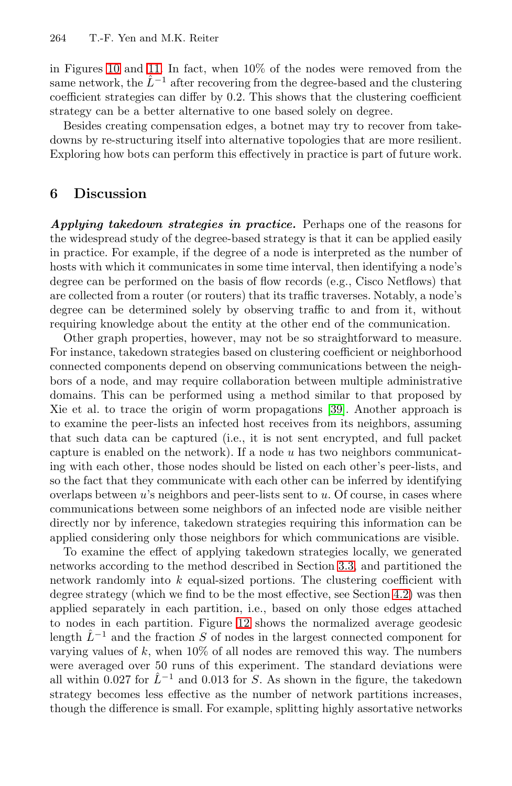in Figures [10](#page-14-0) and [11.](#page-14-1) In fact, when 10% of the nodes were removed from the same network, the  $\tilde{L}^{-1}$  after recovering from the degree-based and the clustering coefficient strategies can differ by 0.2. This shows that the clustering coefficient strategy can be a better alternative to one based solely on degree.

Besides creating compensation edges, a botnet may try to recover from takedowns by re-structuring itself into alternative topologies that are more resilient. Exploring how bots can perform this effectively in practice is part of future work.

# <span id="page-15-0"></span>**6 Discussion**

*Applying takedown strategies in practice.* Perhaps one of the reasons for the widespread study of the degree-based strategy is that it can be applied easily in practice. For example, if the degree of a node is interpreted as the number of hosts with which it communicates in some time interval, then identifying a node's degree can be performed on the basis of flow records (e.g., Cisco Netflows) that are collected from a router (or routers) that its traffic traverses. Notably, a node's degree can be determined solely by observing traffic to and from it, without requiring knowledge about the entity at the other end of the communication.

Other graph properties, however, may not be so straightforward to measure. For instance, takedown strategies based on clustering coefficient or neighborhood connected components depend on observing communications between the neighbors of a node, and may require collaboration between multiple administrative domains. This can be performed using a method similar to that proposed by Xie et al. to trace the origin of worm propagations [\[39\]](#page-19-22). Another approach is to examine the peer-lists an infected host receives from its neighbors, assuming that such data can be captured (i.e., it is not sent encrypted, and full packet capture is enabled on the network). If a node  $u$  has two neighbors communicating with each other, those nodes should be listed on each other's peer-lists, and so the fact that they communicate with each other can be inferred by identifying overlaps between u's neighbors and peer-lists sent to u. Of course, in cases where communications between some neighbors of an infected node are visible neither directly nor by inference, takedown strategies requiring this information can be applied considering only those neighbors for which communications are visible.

To examine the effect of applying takedown strategies locally, we generated networks according to the method described in Section [3.3,](#page-6-2) and partitioned the network randomly into k equal-sized portions. The clustering coefficient with degree strategy (which we find to be the most effective, see Section [4.2\)](#page-10-0) was then applied separately in each partition, i.e., based on only those edges attached to nodes in each partition. Figure [12](#page-16-0) shows the normalized average geodesic length  $L^{-1}$  and the fraction S of nodes in the largest connected component for varying values of  $k$ , when 10% of all nodes are removed this way. The numbers were averaged over 50 runs of this experiment. The standard deviations were all within 0.027 for  $L^{-1}$  and 0.013 for S. As shown in the figure, the takedown strategy becomes less effective as the number of network partitions increases, though the difference is small. For example, splitting highly assortative networks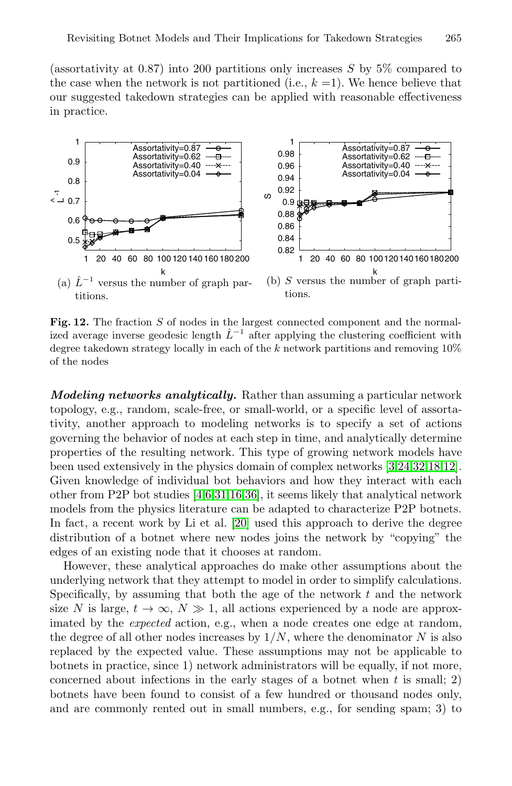(assortativity at 0.87) into 200 partitions only increases S by 5% compared to the case when the network is not partitioned (i.e.,  $k = 1$ ). We hence believe that our suggested takedown strategies can be applied with reasonable effectiveness in practice.



titions.

tions.

<span id="page-16-0"></span>**Fig. 12.** The fraction <sup>S</sup> of nodes in the largest connected component and the normalized average inverse geodesic length  $\hat{L}^{-1}$  after applying the clustering coefficient with degree takedown strategy locally in each of the k network partitions and removing 10% of the nodes

*Modeling networks analytically.* Rather than assuming a particular network topology, e.g., random, scale-free, or small-world, or a specific level of assortativity, another approach to modeling networks is to specify a set of actions governing the behavior of nodes at each step in time, and analytically determine properties of the resulting network. This type of growing network models have been used extensively in the physics domain of complex networks [\[3](#page-18-14)[,24,](#page-19-23)[32](#page-19-24)[,18](#page-19-8)[,12\]](#page-18-15). Given knowledge of individual bot behaviors and how they interact with each other from P2P bot studies [\[4](#page-18-8)[,6](#page-18-9)[,31](#page-19-9)[,16,](#page-18-10)[36\]](#page-19-10), it seems likely that analytical network models from the physics literature can be adapted to characterize P2P botnets. In fact, a recent work by Li et al. [\[20\]](#page-19-25) used this approach to derive the degree distribution of a botnet where new nodes joins the network by "copying" the edges of an existing node that it chooses at random.

However, these analytical approaches do make other assumptions about the underlying network that they attempt to model in order to simplify calculations. Specifically, by assuming that both the age of the network  $t$  and the network size N is large,  $t \to \infty$ ,  $N \gg 1$ , all actions experienced by a node are approximated by the *expected* action, e.g., when a node creates one edge at random, the degree of all other nodes increases by  $1/N$ , where the denominator N is also replaced by the expected value. These assumptions may not be applicable to botnets in practice, since 1) network administrators will be equally, if not more, concerned about infections in the early stages of a botnet when  $t$  is small; 2) botnets have been found to consist of a few hundred or thousand nodes only, and are commonly rented out in small numbers, e.g., for sending spam; 3) to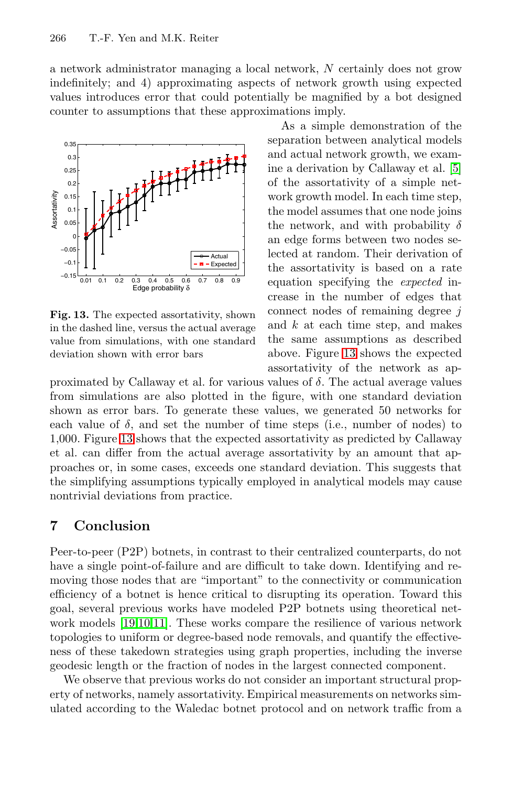a network administrator managing a local network, N certainly does not grow indefinitely; and 4) approximating aspects of network growth using expected values introduces error that could potentially be magnified by a bot designed counter to assumptions that these approximations imply.



<span id="page-17-1"></span>**Fig. 13.** The expected assortativity, shown in the dashed line, versus the actual average value from simulations, with one standard deviation shown with error bars

As a simple demonstration of the separation between analytical models and actual network growth, we examine a derivation by Callaway et al. [\[5\]](#page-18-7) of the assortativity of a simple network growth model. In each time step, the model assumes that one node joins the network, and with probability  $\delta$ an edge forms between two nodes selected at random. Their derivation of the assortativity is based on a rate equation specifying the *expected* increase in the number of edges that connect nodes of remaining degree j and  $k$  at each time step, and makes the same assumptions as described above. Figure [13](#page-17-1) shows the expected assortativity of the network as ap-

proximated by Callaway et al. for various values of  $\delta$ . The actual average values from simulations are also plotted in the figure, with one standard deviation shown as error bars. To generate these values, we generated 50 networks for each value of  $\delta$ , and set the number of time steps (i.e., number of nodes) to 1,000. Figure [13](#page-17-1) shows that the expected assortativity as predicted by Callaway et al. can differ from the actual average assortativity by an amount that approaches or, in some cases, exceeds one standard deviation. This suggests that the simplifying assumptions typically employed in analytical models may cause nontrivial deviations from practice.

# <span id="page-17-0"></span>**7 Conclusion**

Peer-to-peer (P2P) botnets, in contrast to their centralized counterparts, do not have a single point-of-failure and are difficult to take down. Identifying and removing those nodes that are "important" to the connectivity or communication efficiency of a botnet is hence critical to disrupting its operation. Toward this goal, several previous works have modeled P2P botnets using theoretical network models [\[19](#page-19-3)[,10,](#page-18-5)[11\]](#page-18-6). These works compare the resilience of various network topologies to uniform or degree-based node removals, and quantify the effectiveness of these takedown strategies using graph properties, including the inverse geodesic length or the fraction of nodes in the largest connected component.

We observe that previous works do not consider an important structural property of networks, namely assortativity. Empirical measurements on networks simulated according to the Waledac botnet protocol and on network traffic from a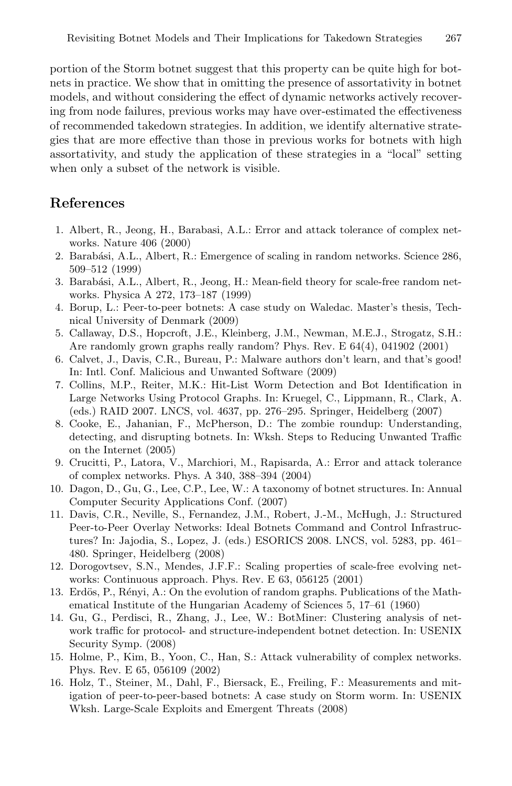portion of the Storm botnet suggest that this property can be quite high for botnets in practice. We show that in omitting the presence of assortativity in botnet models, and without considering the effect of dynamic networks actively recovering from node failures, previous works may have over-estimated the effectiveness of recommended takedown strategies. In addition, we identify alternative strategies that are more effective than those in previous works for botnets with high assortativity, and study the application of these strategies in a "local" setting when only a subset of the network is visible.

# <span id="page-18-2"></span>**References**

- 1. Albert, R., Jeong, H., Barabasi, A.L.: Error and attack tolerance of complex networks. Nature 406 (2000)
- <span id="page-18-1"></span>2. Barabási, A.L., Albert, R.: Emergence of scaling in random networks. Science 286, 509–512 (1999)
- <span id="page-18-14"></span>3. Barabási, A.L., Albert, R., Jeong, H.: Mean-field theory for scale-free random networks. Physica A 272, 173–187 (1999)
- <span id="page-18-8"></span>4. Borup, L.: Peer-to-peer botnets: A case study on Waledac. Master's thesis, Technical University of Denmark (2009)
- <span id="page-18-7"></span>5. Callaway, D.S., Hopcroft, J.E., Kleinberg, J.M., Newman, M.E.J., Strogatz, S.H.: Are randomly grown graphs really random? Phys. Rev. E 64(4), 041902 (2001)
- <span id="page-18-9"></span>6. Calvet, J., Davis, C.R., Bureau, P.: Malware authors don't learn, and that's good! In: Intl. Conf. Malicious and Unwanted Software (2009)
- <span id="page-18-13"></span>7. Collins, M.P., Reiter, M.K.: Hit-List Worm Detection and Bot Identification in Large Networks Using Protocol Graphs. In: Kruegel, C., Lippmann, R., Clark, A. (eds.) RAID 2007. LNCS, vol. 4637, pp. 276–295. Springer, Heidelberg (2007)
- <span id="page-18-11"></span>8. Cooke, E., Jahanian, F., McPherson, D.: The zombie roundup: Understanding, detecting, and disrupting botnets. In: Wksh. Steps to Reducing Unwanted Traffic on the Internet (2005)
- <span id="page-18-3"></span>9. Crucitti, P., Latora, V., Marchiori, M., Rapisarda, A.: Error and attack tolerance of complex networks. Phys. A 340, 388–394 (2004)
- <span id="page-18-5"></span>10. Dagon, D., Gu, G., Lee, C.P., Lee, W.: A taxonomy of botnet structures. In: Annual Computer Security Applications Conf. (2007)
- <span id="page-18-6"></span>11. Davis, C.R., Neville, S., Fernandez, J.M., Robert, J.-M., McHugh, J.: Structured Peer-to-Peer Overlay Networks: Ideal Botnets Command and Control Infrastructures? In: Jajodia, S., Lopez, J. (eds.) ESORICS 2008. LNCS, vol. 5283, pp. 461– 480. Springer, Heidelberg (2008)
- <span id="page-18-15"></span>12. Dorogovtsev, S.N., Mendes, J.F.F.: Scaling properties of scale-free evolving networks: Continuous approach. Phys. Rev. E 63, 056125 (2001)
- <span id="page-18-0"></span>13. Erdös, P., Rényi, A.: On the evolution of random graphs. Publications of the Mathematical Institute of the Hungarian Academy of Sciences 5, 17–61 (1960)
- <span id="page-18-12"></span>14. Gu, G., Perdisci, R., Zhang, J., Lee, W.: BotMiner: Clustering analysis of network traffic for protocol- and structure-independent botnet detection. In: USENIX Security Symp. (2008)
- <span id="page-18-4"></span>15. Holme, P., Kim, B., Yoon, C., Han, S.: Attack vulnerability of complex networks. Phys. Rev. E 65, 056109 (2002)
- <span id="page-18-10"></span>16. Holz, T., Steiner, M., Dahl, F., Biersack, E., Freiling, F.: Measurements and mitigation of peer-to-peer-based botnets: A case study on Storm worm. In: USENIX Wksh. Large-Scale Exploits and Emergent Threats (2008)